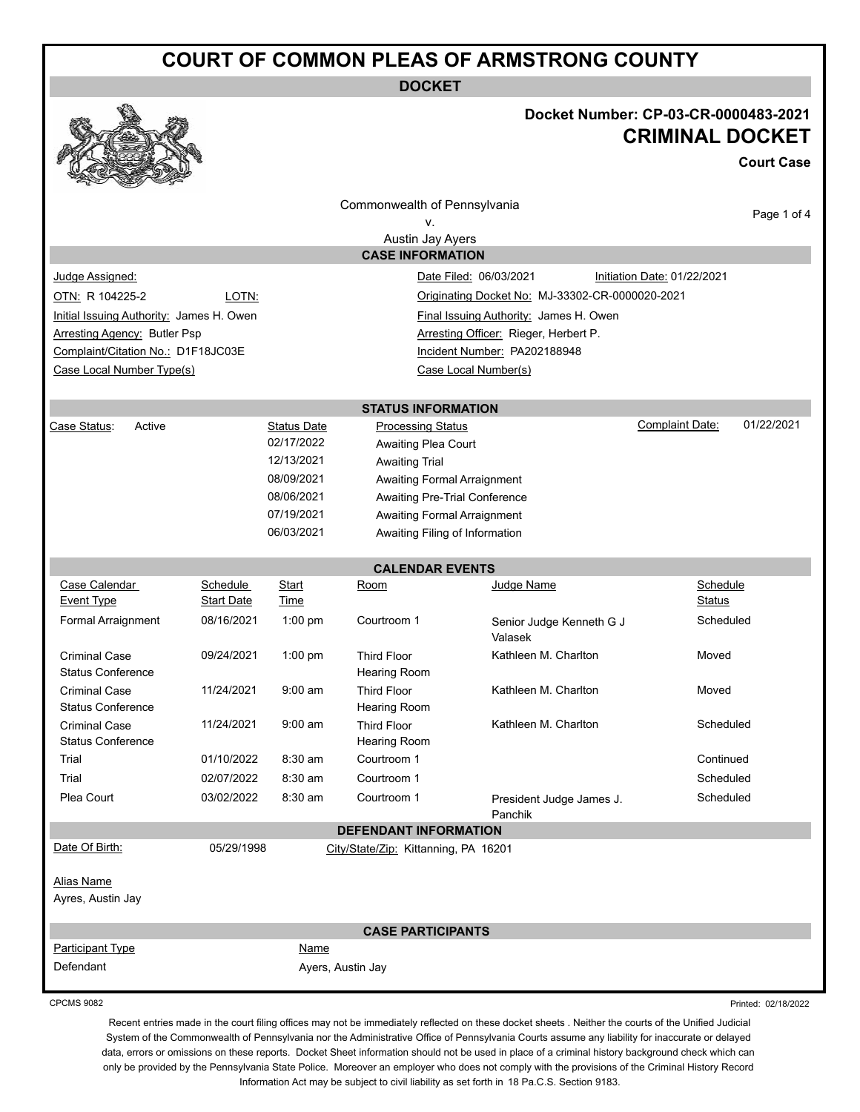### **COURT OF COMMON PLEAS OF ARMSTRONG COUNTY**

**DOCKET**



#### **Docket Number: CP-03-CR-0000483-2021 CRIMINAL DOCKET**

**Court Case**

|                                                                    |                   |                    | Commonwealth of Pennsylvania                          |                                                 |                             | Page 1 of 4 |
|--------------------------------------------------------------------|-------------------|--------------------|-------------------------------------------------------|-------------------------------------------------|-----------------------------|-------------|
|                                                                    |                   |                    | ٧.                                                    |                                                 |                             |             |
|                                                                    |                   |                    | Austin Jay Ayers<br><b>CASE INFORMATION</b>           |                                                 |                             |             |
| Judge Assigned:                                                    |                   |                    | Date Filed: 06/03/2021                                |                                                 | Initiation Date: 01/22/2021 |             |
| OTN: R 104225-2                                                    | LOTN:             |                    |                                                       | Originating Docket No: MJ-33302-CR-0000020-2021 |                             |             |
| Initial Issuing Authority: James H. Owen                           |                   |                    |                                                       | Final Issuing Authority: James H. Owen          |                             |             |
| <b>Arresting Agency: Butler Psp</b>                                |                   |                    |                                                       | Arresting Officer: Rieger, Herbert P.           |                             |             |
| Complaint/Citation No.: D1F18JC03E<br>Incident Number: PA202188948 |                   |                    |                                                       |                                                 |                             |             |
| Case Local Number Type(s)                                          |                   |                    | Case Local Number(s)                                  |                                                 |                             |             |
|                                                                    |                   |                    |                                                       |                                                 |                             |             |
| Active<br>Case Status:                                             |                   | <b>Status Date</b> | <b>STATUS INFORMATION</b><br><b>Processing Status</b> |                                                 | Complaint Date:             | 01/22/2021  |
|                                                                    |                   | 02/17/2022         | Awaiting Plea Court                                   |                                                 |                             |             |
|                                                                    |                   | 12/13/2021         | <b>Awaiting Trial</b>                                 |                                                 |                             |             |
|                                                                    |                   | 08/09/2021         | <b>Awaiting Formal Arraignment</b>                    |                                                 |                             |             |
|                                                                    |                   | 08/06/2021         | Awaiting Pre-Trial Conference                         |                                                 |                             |             |
|                                                                    |                   | 07/19/2021         | <b>Awaiting Formal Arraignment</b>                    |                                                 |                             |             |
|                                                                    |                   | 06/03/2021         | Awaiting Filing of Information                        |                                                 |                             |             |
|                                                                    |                   |                    | <b>CALENDAR EVENTS</b>                                |                                                 |                             |             |
| Case Calendar                                                      | Schedule          | Start              | Room                                                  | Judge Name                                      | Schedule                    |             |
| <b>Event Type</b>                                                  | <b>Start Date</b> | <b>Time</b>        |                                                       |                                                 | Status                      |             |
| Formal Arraignment                                                 | 08/16/2021        | 1:00 pm            | Courtroom 1                                           | Senior Judge Kenneth G J<br>Valasek             | Scheduled                   |             |
| <b>Criminal Case</b><br><b>Status Conference</b>                   | 09/24/2021        | $1:00$ pm          | <b>Third Floor</b><br><b>Hearing Room</b>             | Kathleen M. Charlton                            | Moved                       |             |
| <b>Criminal Case</b><br><b>Status Conference</b>                   | 11/24/2021        | $9:00$ am          | <b>Third Floor</b><br>Hearing Room                    | Kathleen M. Charlton                            | Moved                       |             |
| <b>Criminal Case</b><br><b>Status Conference</b>                   | 11/24/2021        | $9:00$ am          | <b>Third Floor</b><br>Hearing Room                    | Kathleen M. Charlton                            | Scheduled                   |             |
| Trial                                                              | 01/10/2022        | 8:30 am            | Courtroom 1                                           |                                                 | Continued                   |             |
| Trial                                                              | 02/07/2022        | 8:30 am            | Courtroom 1                                           |                                                 | Scheduled                   |             |
| Plea Court                                                         | 03/02/2022        | 8:30 am            | Courtroom 1                                           | President Judge James J.<br>Panchik             | Scheduled                   |             |
|                                                                    |                   |                    | <b>DEFENDANT INFORMATION</b>                          |                                                 |                             |             |
| Date Of Birth:<br><b>Alias Name</b><br>Ayres, Austin Jay           | 05/29/1998        |                    | City/State/Zip: Kittanning, PA 16201                  |                                                 |                             |             |
|                                                                    |                   |                    | <b>CASE PARTICIPANTS</b>                              |                                                 |                             |             |
| <b>Participant Type</b>                                            |                   | Name               |                                                       |                                                 |                             |             |
| Defendant                                                          |                   |                    | Ayers, Austin Jay                                     |                                                 |                             |             |

Recent entries made in the court filing offices may not be immediately reflected on these docket sheets . Neither the courts of the Unified Judicial System of the Commonwealth of Pennsylvania nor the Administrative Office of Pennsylvania Courts assume any liability for inaccurate or delayed data, errors or omissions on these reports. Docket Sheet information should not be used in place of a criminal history background check which can only be provided by the Pennsylvania State Police. Moreover an employer who does not comply with the provisions of the Criminal History Record Information Act may be subject to civil liability as set forth in 18 Pa.C.S. Section 9183.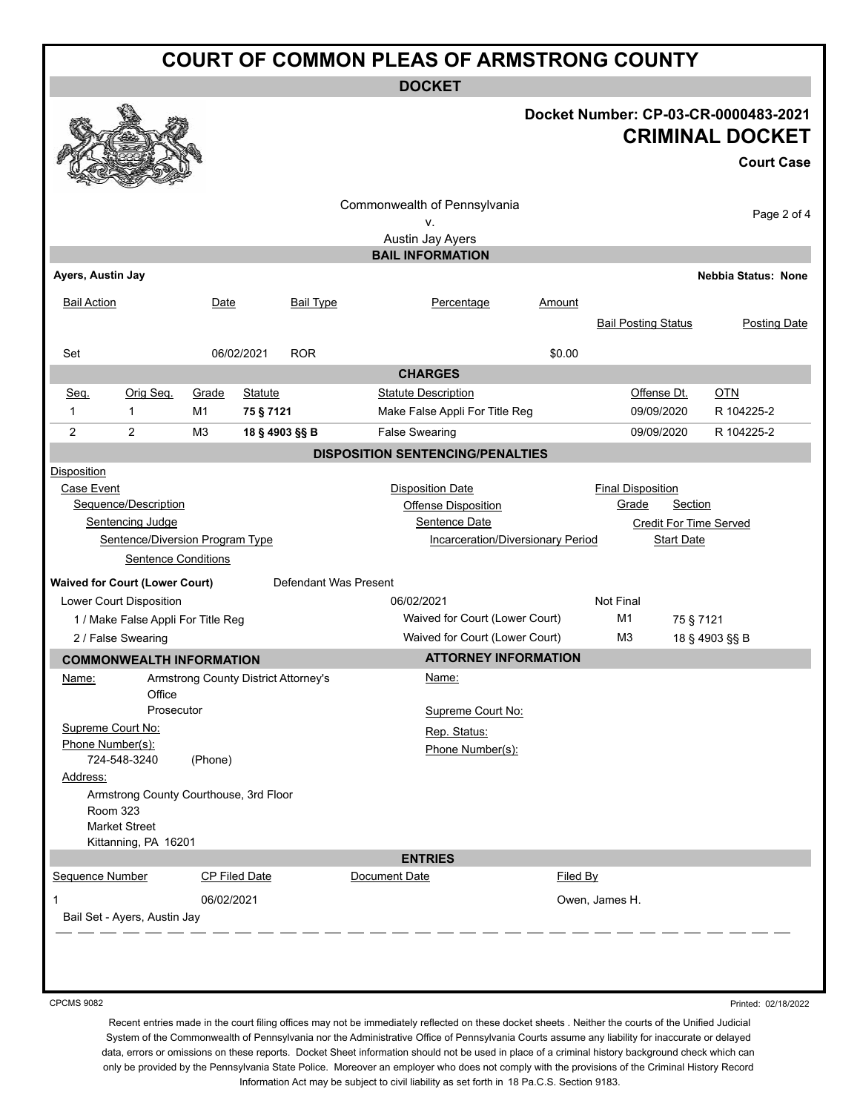# **COURT OF COMMON PLEAS OF ARMSTRONG COUNTY**

**DOCKET**

#### **Docket Number: CP-03-CR-0000483-2021 CRIMINAL DOCKET**

**Court Case**

| <b>Court Case</b>                  |                                                                |                                      |                      |                  |                                          |          |                             |                   |                               |
|------------------------------------|----------------------------------------------------------------|--------------------------------------|----------------------|------------------|------------------------------------------|----------|-----------------------------|-------------------|-------------------------------|
| Commonwealth of Pennsylvania       |                                                                |                                      |                      |                  |                                          |          |                             |                   |                               |
|                                    |                                                                |                                      |                      |                  | ۷.                                       |          |                             |                   | Page 2 of 4                   |
|                                    |                                                                |                                      |                      |                  | Austin Jay Ayers                         |          |                             |                   |                               |
|                                    |                                                                |                                      |                      |                  | <b>BAIL INFORMATION</b>                  |          |                             |                   |                               |
| Ayers, Austin Jay                  |                                                                |                                      |                      |                  |                                          |          |                             |                   | <b>Nebbia Status: None</b>    |
| <b>Bail Action</b>                 |                                                                | Date                                 |                      | <b>Bail Type</b> | Percentage                               | Amount   |                             |                   |                               |
|                                    |                                                                |                                      |                      |                  |                                          |          | <b>Bail Posting Status</b>  |                   | <b>Posting Date</b>           |
|                                    |                                                                |                                      |                      |                  |                                          |          |                             |                   |                               |
| Set                                |                                                                |                                      | 06/02/2021           | <b>ROR</b>       | <b>CHARGES</b>                           | \$0.00   |                             |                   |                               |
| Seq.                               | Orig Seq.                                                      | Grade                                | <b>Statute</b>       |                  | <b>Statute Description</b>               |          | Offense Dt.                 |                   | <b>OTN</b>                    |
| $\mathbf{1}$                       | $\mathbf{1}$                                                   | M1                                   | 75 § 7121            |                  | Make False Appli For Title Reg           |          | 09/09/2020                  |                   | R 104225-2                    |
| 2                                  | 2                                                              | M <sub>3</sub>                       | 18 § 4903 §§ B       |                  | <b>False Swearing</b>                    |          | 09/09/2020                  |                   | R 104225-2                    |
|                                    |                                                                |                                      |                      |                  | <b>DISPOSITION SENTENCING/PENALTIES</b>  |          |                             |                   |                               |
| Disposition                        |                                                                |                                      |                      |                  |                                          |          |                             |                   |                               |
| Case Event                         |                                                                |                                      |                      |                  | <b>Disposition Date</b>                  |          | <b>Final Disposition</b>    |                   |                               |
|                                    | Sequence/Description                                           |                                      |                      |                  | <b>Offense Disposition</b>               |          | Grade                       | Section           |                               |
|                                    | Sentencing Judge                                               |                                      |                      |                  | Sentence Date                            |          |                             |                   | <b>Credit For Time Served</b> |
|                                    | Sentence/Diversion Program Type                                |                                      |                      |                  | <b>Incarceration/Diversionary Period</b> |          |                             | <b>Start Date</b> |                               |
|                                    | <b>Sentence Conditions</b>                                     |                                      |                      |                  |                                          |          |                             |                   |                               |
|                                    | Defendant Was Present<br><b>Waived for Court (Lower Court)</b> |                                      |                      |                  |                                          |          |                             |                   |                               |
| Lower Court Disposition            |                                                                |                                      |                      |                  | 06/02/2021                               |          | Not Final                   |                   |                               |
| 1 / Make False Appli For Title Reg |                                                                |                                      |                      |                  | Waived for Court (Lower Court)           |          | M <sub>1</sub><br>75 § 7121 |                   |                               |
| 2 / False Swearing                 |                                                                |                                      |                      |                  | Waived for Court (Lower Court)           |          | M <sub>3</sub>              |                   | 18 § 4903 §§ B                |
|                                    | <b>COMMONWEALTH INFORMATION</b>                                |                                      |                      |                  | <b>ATTORNEY INFORMATION</b>              |          |                             |                   |                               |
| Name:                              |                                                                | Armstrong County District Attorney's |                      |                  | Name:                                    |          |                             |                   |                               |
|                                    | Office<br>Prosecutor                                           |                                      |                      |                  | Supreme Court No:                        |          |                             |                   |                               |
| Supreme Court No:                  |                                                                |                                      |                      |                  | Rep. Status:                             |          |                             |                   |                               |
| Phone Number(s):                   |                                                                |                                      |                      |                  | Phone Number(s):                         |          |                             |                   |                               |
|                                    | 724-548-3240                                                   | (Phone)                              |                      |                  |                                          |          |                             |                   |                               |
| Address:                           |                                                                |                                      |                      |                  |                                          |          |                             |                   |                               |
|                                    | Armstrong County Courthouse, 3rd Floor                         |                                      |                      |                  |                                          |          |                             |                   |                               |
|                                    | <b>Room 323</b><br><b>Market Street</b>                        |                                      |                      |                  |                                          |          |                             |                   |                               |
|                                    | Kittanning, PA 16201                                           |                                      |                      |                  |                                          |          |                             |                   |                               |
| <b>ENTRIES</b>                     |                                                                |                                      |                      |                  |                                          |          |                             |                   |                               |
| Sequence Number                    |                                                                |                                      | <b>CP Filed Date</b> |                  | Document Date                            | Filed By |                             |                   |                               |
| 1                                  |                                                                | 06/02/2021                           |                      |                  |                                          |          | Owen, James H.              |                   |                               |
| Bail Set - Ayers, Austin Jay       |                                                                |                                      |                      |                  |                                          |          |                             |                   |                               |
|                                    |                                                                |                                      |                      |                  |                                          |          |                             |                   |                               |
|                                    |                                                                |                                      |                      |                  |                                          |          |                             |                   |                               |
|                                    |                                                                |                                      |                      |                  |                                          |          |                             |                   |                               |
|                                    |                                                                |                                      |                      |                  |                                          |          |                             |                   |                               |

CPCMS 9082

Printed: 02/18/2022

Recent entries made in the court filing offices may not be immediately reflected on these docket sheets . Neither the courts of the Unified Judicial System of the Commonwealth of Pennsylvania nor the Administrative Office of Pennsylvania Courts assume any liability for inaccurate or delayed data, errors or omissions on these reports. Docket Sheet information should not be used in place of a criminal history background check which can only be provided by the Pennsylvania State Police. Moreover an employer who does not comply with the provisions of the Criminal History Record Information Act may be subject to civil liability as set forth in 18 Pa.C.S. Section 9183.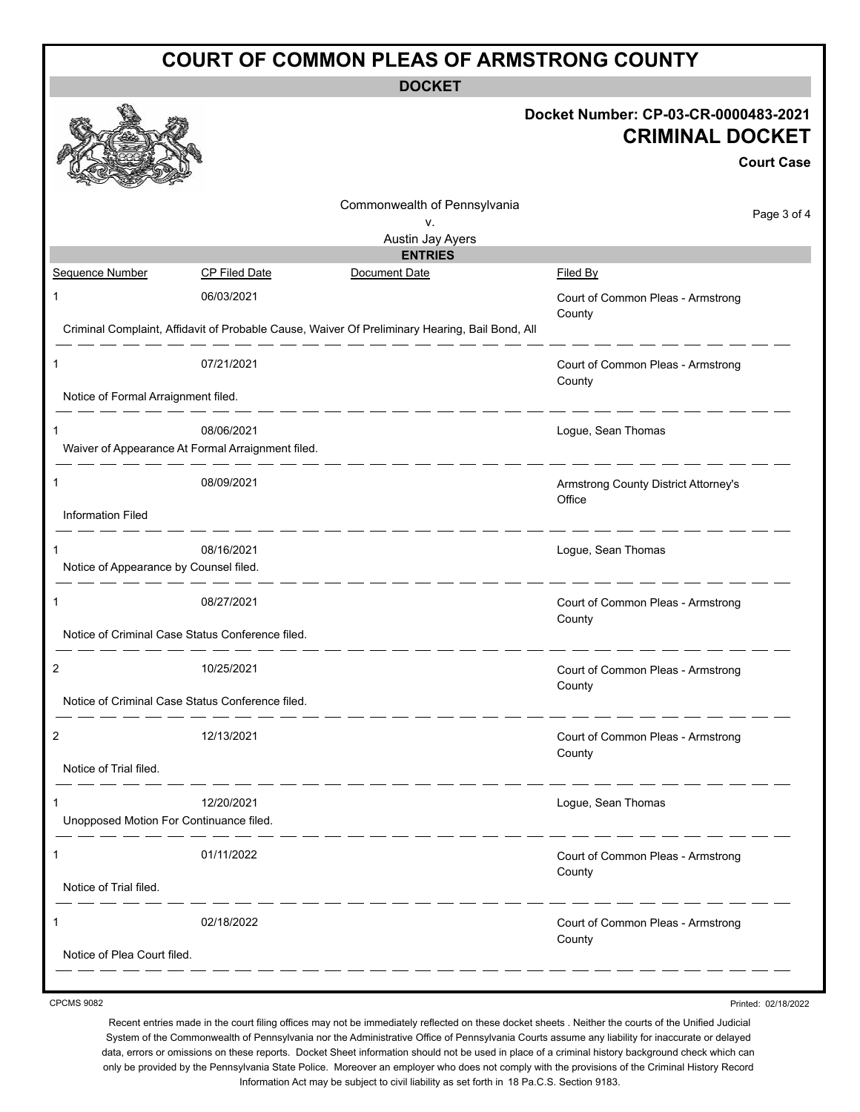| <b>COURT OF COMMON PLEAS OF ARMSTRONG COUNTY</b>                                               |                                                        |                                                                                     |  |  |  |  |  |
|------------------------------------------------------------------------------------------------|--------------------------------------------------------|-------------------------------------------------------------------------------------|--|--|--|--|--|
| <b>DOCKET</b>                                                                                  |                                                        |                                                                                     |  |  |  |  |  |
|                                                                                                |                                                        | Docket Number: CP-03-CR-0000483-2021<br><b>CRIMINAL DOCKET</b><br><b>Court Case</b> |  |  |  |  |  |
|                                                                                                | Commonwealth of Pennsylvania<br>٧.<br>Austin Jay Ayers | Page 3 of 4                                                                         |  |  |  |  |  |
|                                                                                                | <b>ENTRIES</b>                                         |                                                                                     |  |  |  |  |  |
| Sequence Number<br><b>CP Filed Date</b>                                                        | Document Date                                          | Filed By                                                                            |  |  |  |  |  |
| 06/03/2021<br>1                                                                                |                                                        | Court of Common Pleas - Armstrong<br>County                                         |  |  |  |  |  |
| Criminal Complaint, Affidavit of Probable Cause, Waiver Of Preliminary Hearing, Bail Bond, All |                                                        |                                                                                     |  |  |  |  |  |
| 07/21/2021<br>1                                                                                |                                                        | Court of Common Pleas - Armstrong<br>County                                         |  |  |  |  |  |
| Notice of Formal Arraignment filed.                                                            |                                                        |                                                                                     |  |  |  |  |  |
| 08/06/2021<br>1<br>Waiver of Appearance At Formal Arraignment filed.                           |                                                        | Logue, Sean Thomas                                                                  |  |  |  |  |  |
| 08/09/2021<br>1                                                                                |                                                        | Armstrong County District Attorney's<br>Office                                      |  |  |  |  |  |
| Information Filed                                                                              |                                                        |                                                                                     |  |  |  |  |  |
| 08/16/2021<br>1<br>Notice of Appearance by Counsel filed.                                      |                                                        | Logue, Sean Thomas                                                                  |  |  |  |  |  |
| 08/27/2021<br>1                                                                                | Court of Common Pleas - Armstrong<br>County            |                                                                                     |  |  |  |  |  |
| Notice of Criminal Case Status Conference filed.                                               |                                                        |                                                                                     |  |  |  |  |  |
| 10/25/2021                                                                                     |                                                        | Court of Common Pleas - Armstrong<br>County                                         |  |  |  |  |  |
| Notice of Criminal Case Status Conference filed.                                               |                                                        |                                                                                     |  |  |  |  |  |
| 12/13/2021<br>2                                                                                |                                                        | Court of Common Pleas - Armstrong<br>County                                         |  |  |  |  |  |
| Notice of Trial filed.                                                                         |                                                        |                                                                                     |  |  |  |  |  |
| 12/20/2021<br>Unopposed Motion For Continuance filed.                                          |                                                        | Logue, Sean Thomas                                                                  |  |  |  |  |  |
| 01/11/2022<br>1                                                                                |                                                        | Court of Common Pleas - Armstrong<br>County                                         |  |  |  |  |  |
| Notice of Trial filed.                                                                         |                                                        |                                                                                     |  |  |  |  |  |
| 02/18/2022<br>1                                                                                |                                                        | Court of Common Pleas - Armstrong<br>County                                         |  |  |  |  |  |
| Notice of Plea Court filed.                                                                    |                                                        |                                                                                     |  |  |  |  |  |

CPCMS 9082

Recent entries made in the court filing offices may not be immediately reflected on these docket sheets . Neither the courts of the Unified Judicial System of the Commonwealth of Pennsylvania nor the Administrative Office of Pennsylvania Courts assume any liability for inaccurate or delayed data, errors or omissions on these reports. Docket Sheet information should not be used in place of a criminal history background check which can only be provided by the Pennsylvania State Police. Moreover an employer who does not comply with the provisions of the Criminal History Record Information Act may be subject to civil liability as set forth in 18 Pa.C.S. Section 9183.

Printed: 02/18/2022